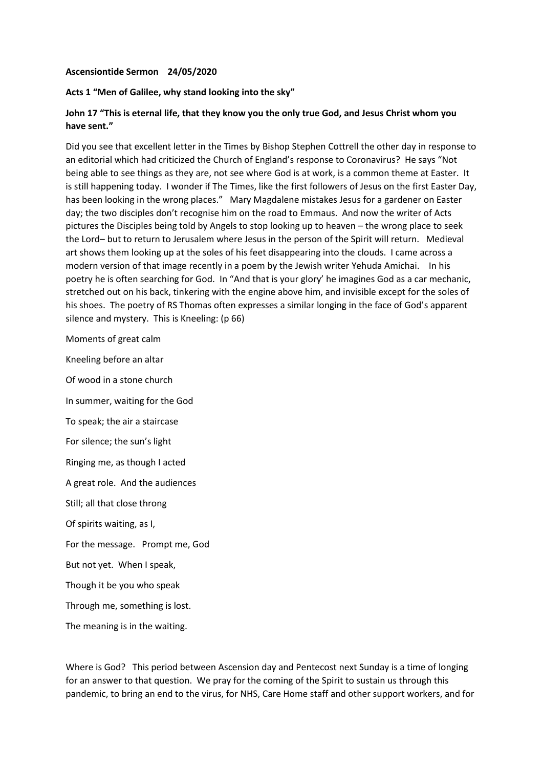## **Ascensiontide Sermon 24/05/2020**

## **Acts 1 "Men of Galilee, why stand looking into the sky"**

## **John 17 "This is eternal life, that they know you the only true God, and Jesus Christ whom you have sent."**

Did you see that excellent letter in the Times by Bishop Stephen Cottrell the other day in response to an editorial which had criticized the Church of England's response to Coronavirus? He says "Not being able to see things as they are, not see where God is at work, is a common theme at Easter. It is still happening today. I wonder if The Times, like the first followers of Jesus on the first Easter Day, has been looking in the wrong places." Mary Magdalene mistakes Jesus for a gardener on Easter day; the two disciples don't recognise him on the road to Emmaus. And now the writer of Acts pictures the Disciples being told by Angels to stop looking up to heaven – the wrong place to seek the Lord– but to return to Jerusalem where Jesus in the person of the Spirit will return. Medieval art shows them looking up at the soles of his feet disappearing into the clouds. I came across a modern version of that image recently in a poem by the Jewish writer Yehuda Amichai. In his poetry he is often searching for God. In "And that is your glory' he imagines God as a car mechanic, stretched out on his back, tinkering with the engine above him, and invisible except for the soles of his shoes. The poetry of RS Thomas often expresses a similar longing in the face of God's apparent silence and mystery. This is Kneeling: (p 66)

Moments of great calm

Kneeling before an altar Of wood in a stone church In summer, waiting for the God To speak; the air a staircase For silence; the sun's light Ringing me, as though I acted A great role. And the audiences Still; all that close throng Of spirits waiting, as I, For the message. Prompt me, God But not yet. When I speak, Though it be you who speak Through me, something is lost. The meaning is in the waiting.

Where is God? This period between Ascension day and Pentecost next Sunday is a time of longing for an answer to that question. We pray for the coming of the Spirit to sustain us through this pandemic, to bring an end to the virus, for NHS, Care Home staff and other support workers, and for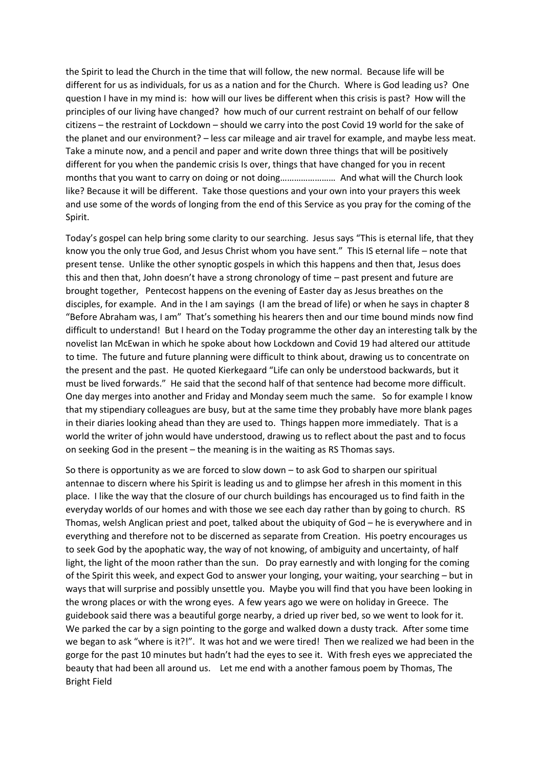the Spirit to lead the Church in the time that will follow, the new normal. Because life will be different for us as individuals, for us as a nation and for the Church. Where is God leading us? One question I have in my mind is: how will our lives be different when this crisis is past? How will the principles of our living have changed? how much of our current restraint on behalf of our fellow citizens – the restraint of Lockdown – should we carry into the post Covid 19 world for the sake of the planet and our environment? – less car mileage and air travel for example, and maybe less meat. Take a minute now, and a pencil and paper and write down three things that will be positively different for you when the pandemic crisis Is over, things that have changed for you in recent months that you want to carry on doing or not doing…………………… And what will the Church look like? Because it will be different. Take those questions and your own into your prayers this week and use some of the words of longing from the end of this Service as you pray for the coming of the Spirit.

Today's gospel can help bring some clarity to our searching. Jesus says "This is eternal life, that they know you the only true God, and Jesus Christ whom you have sent." This IS eternal life – note that present tense. Unlike the other synoptic gospels in which this happens and then that, Jesus does this and then that, John doesn't have a strong chronology of time – past present and future are brought together, Pentecost happens on the evening of Easter day as Jesus breathes on the disciples, for example. And in the I am sayings (I am the bread of life) or when he says in chapter 8 "Before Abraham was, I am" That's something his hearers then and our time bound minds now find difficult to understand! But I heard on the Today programme the other day an interesting talk by the novelist Ian McEwan in which he spoke about how Lockdown and Covid 19 had altered our attitude to time. The future and future planning were difficult to think about, drawing us to concentrate on the present and the past. He quoted Kierkegaard "Life can only be understood backwards, but it must be lived forwards." He said that the second half of that sentence had become more difficult. One day merges into another and Friday and Monday seem much the same. So for example I know that my stipendiary colleagues are busy, but at the same time they probably have more blank pages in their diaries looking ahead than they are used to. Things happen more immediately. That is a world the writer of john would have understood, drawing us to reflect about the past and to focus on seeking God in the present – the meaning is in the waiting as RS Thomas says.

So there is opportunity as we are forced to slow down – to ask God to sharpen our spiritual antennae to discern where his Spirit is leading us and to glimpse her afresh in this moment in this place. I like the way that the closure of our church buildings has encouraged us to find faith in the everyday worlds of our homes and with those we see each day rather than by going to church. RS Thomas, welsh Anglican priest and poet, talked about the ubiquity of God – he is everywhere and in everything and therefore not to be discerned as separate from Creation. His poetry encourages us to seek God by the apophatic way, the way of not knowing, of ambiguity and uncertainty, of half light, the light of the moon rather than the sun. Do pray earnestly and with longing for the coming of the Spirit this week, and expect God to answer your longing, your waiting, your searching – but in ways that will surprise and possibly unsettle you. Maybe you will find that you have been looking in the wrong places or with the wrong eyes. A few years ago we were on holiday in Greece. The guidebook said there was a beautiful gorge nearby, a dried up river bed, so we went to look for it. We parked the car by a sign pointing to the gorge and walked down a dusty track. After some time we began to ask "where is it?!". It was hot and we were tired! Then we realized we had been in the gorge for the past 10 minutes but hadn't had the eyes to see it. With fresh eyes we appreciated the beauty that had been all around us. Let me end with a another famous poem by Thomas, The Bright Field